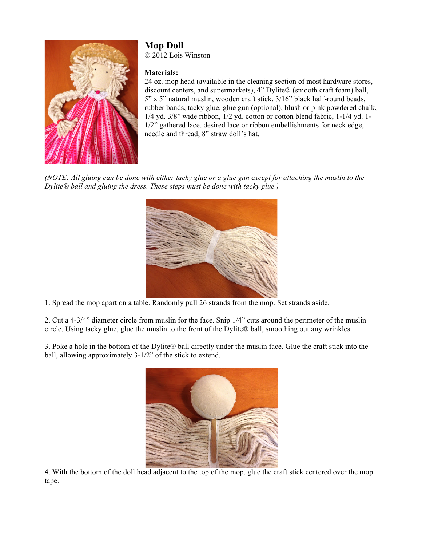

## **Mop Doll**

© 2012 Lois Winston

## **Materials:**

24 oz. mop head (available in the cleaning section of most hardware stores, discount centers, and supermarkets), 4" Dylite® (smooth craft foam) ball, 5" x 5" natural muslin, wooden craft stick, 3/16" black half-round beads, rubber bands, tacky glue, glue gun (optional), blush or pink powdered chalk, 1/4 yd. 3/8" wide ribbon, 1/2 yd. cotton or cotton blend fabric, 1-1/4 yd. 1- 1/2" gathered lace, desired lace or ribbon embellishments for neck edge, needle and thread, 8" straw doll's hat.

*(NOTE: All gluing can be done with either tacky glue or a glue gun except for attaching the muslin to the Dylite® ball and gluing the dress. These steps must be done with tacky glue.)*



1. Spread the mop apart on a table. Randomly pull 26 strands from the mop. Set strands aside.

2. Cut a 4-3/4" diameter circle from muslin for the face. Snip 1/4" cuts around the perimeter of the muslin circle. Using tacky glue, glue the muslin to the front of the Dylite® ball, smoothing out any wrinkles.

3. Poke a hole in the bottom of the Dylite® ball directly under the muslin face. Glue the craft stick into the ball, allowing approximately 3-1/2" of the stick to extend.



4. With the bottom of the doll head adjacent to the top of the mop, glue the craft stick centered over the mop tape.